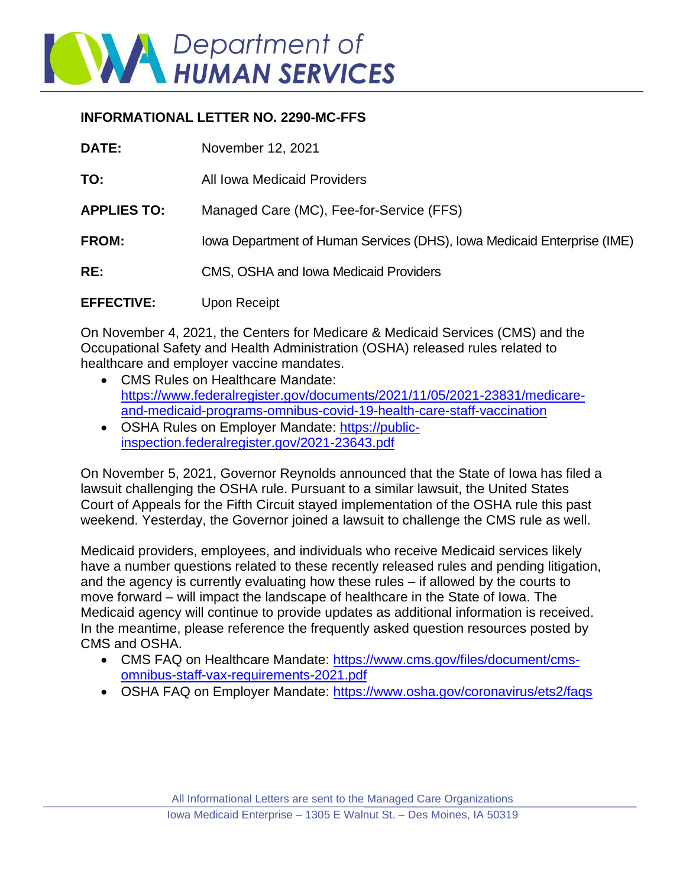

## **INFORMATIONAL LETTER NO. 2290-MC-FFS**

| <b>DATE:</b>       | November 12, 2021                                                       |
|--------------------|-------------------------------------------------------------------------|
| TO:                | All Iowa Medicaid Providers                                             |
| <b>APPLIES TO:</b> | Managed Care (MC), Fee-for-Service (FFS)                                |
| FROM:              | Iowa Department of Human Services (DHS), Iowa Medicaid Enterprise (IME) |
| RE:                | CMS, OSHA and Iowa Medicaid Providers                                   |
| <b>EFFECTIVE:</b>  | Upon Receipt                                                            |

On November 4, 2021, the Centers for Medicare & Medicaid Services (CMS) and the Occupational Safety and Health Administration (OSHA) released rules related to healthcare and employer vaccine mandates.

- CMS Rules on Healthcare Mandate: [https://www.federalregister.gov/documents/2021/11/05/2021-23831/medicare](https://gcc02.safelinks.protection.outlook.com/?url=https%3A%2F%2Fwww.federalregister.gov%2Fdocuments%2F2021%2F11%2F05%2F2021-23831%2Fmedicare-and-medicaid-programs-omnibus-covid-19-health-care-staff-vaccination&data=04%7C01%7Cmkitzma%40dhs.state.ia.us%7C92d64f284a984f18695f08d9a60b924e%7C8d2c7b4d085a4617853638a76d19b0da%7C1%7C0%7C637723390887961082%7CUnknown%7CTWFpbGZsb3d8eyJWIjoiMC4wLjAwMDAiLCJQIjoiV2luMzIiLCJBTiI6Ik1haWwiLCJXVCI6Mn0%3D%7C1000&sdata=V%2BtrZKXYveY6fX230uJcEVOax6lV5E8dQ0uGJQrcYI4%3D&reserved=0)[and-medicaid-programs-omnibus-covid-19-health-care-staff-vaccination](https://gcc02.safelinks.protection.outlook.com/?url=https%3A%2F%2Fwww.federalregister.gov%2Fdocuments%2F2021%2F11%2F05%2F2021-23831%2Fmedicare-and-medicaid-programs-omnibus-covid-19-health-care-staff-vaccination&data=04%7C01%7Cmkitzma%40dhs.state.ia.us%7C92d64f284a984f18695f08d9a60b924e%7C8d2c7b4d085a4617853638a76d19b0da%7C1%7C0%7C637723390887961082%7CUnknown%7CTWFpbGZsb3d8eyJWIjoiMC4wLjAwMDAiLCJQIjoiV2luMzIiLCJBTiI6Ik1haWwiLCJXVCI6Mn0%3D%7C1000&sdata=V%2BtrZKXYveY6fX230uJcEVOax6lV5E8dQ0uGJQrcYI4%3D&reserved=0)
- OSHA Rules on Employer Mandate: [https://public](https://gcc02.safelinks.protection.outlook.com/?url=https%3A%2F%2Fpublic-inspection.federalregister.gov%2F2021-23643.pdf&data=04%7C01%7Cmkitzma%40dhs.state.ia.us%7C92d64f284a984f18695f08d9a60b924e%7C8d2c7b4d085a4617853638a76d19b0da%7C1%7C0%7C637723390887971031%7CUnknown%7CTWFpbGZsb3d8eyJWIjoiMC4wLjAwMDAiLCJQIjoiV2luMzIiLCJBTiI6Ik1haWwiLCJXVCI6Mn0%3D%7C1000&sdata=CcFtsYx951mOQedhcIpKxz0nd9PUUeaz%2FzkKZcHA5n8%3D&reserved=0)[inspection.federalregister.gov/2021-23643.pdf](https://gcc02.safelinks.protection.outlook.com/?url=https%3A%2F%2Fpublic-inspection.federalregister.gov%2F2021-23643.pdf&data=04%7C01%7Cmkitzma%40dhs.state.ia.us%7C92d64f284a984f18695f08d9a60b924e%7C8d2c7b4d085a4617853638a76d19b0da%7C1%7C0%7C637723390887971031%7CUnknown%7CTWFpbGZsb3d8eyJWIjoiMC4wLjAwMDAiLCJQIjoiV2luMzIiLCJBTiI6Ik1haWwiLCJXVCI6Mn0%3D%7C1000&sdata=CcFtsYx951mOQedhcIpKxz0nd9PUUeaz%2FzkKZcHA5n8%3D&reserved=0)

On November 5, 2021, Governor Reynolds announced that the State of Iowa has filed a lawsuit challenging the OSHA rule. Pursuant to a similar lawsuit, the United States Court of Appeals for the Fifth Circuit stayed implementation of the OSHA rule this past weekend. Yesterday, the Governor joined a lawsuit to challenge the CMS rule as well.

Medicaid providers, employees, and individuals who receive Medicaid services likely have a number questions related to these recently released rules and pending litigation, and the agency is currently evaluating how these rules – if allowed by the courts to move forward – will impact the landscape of healthcare in the State of Iowa. The Medicaid agency will continue to provide updates as additional information is received. In the meantime, please reference the frequently asked question resources posted by CMS and OSHA.

- CMS FAQ on Healthcare Mandate: [https://www.cms.gov/files/document/cms](https://gcc02.safelinks.protection.outlook.com/?url=https%3A%2F%2Fwww.cms.gov%2Ffiles%2Fdocument%2Fcms-omnibus-staff-vax-requirements-2021.pdf&data=04%7C01%7Cmkitzma%40dhs.state.ia.us%7C92d64f284a984f18695f08d9a60b924e%7C8d2c7b4d085a4617853638a76d19b0da%7C1%7C0%7C637723390887971031%7CUnknown%7CTWFpbGZsb3d8eyJWIjoiMC4wLjAwMDAiLCJQIjoiV2luMzIiLCJBTiI6Ik1haWwiLCJXVCI6Mn0%3D%7C1000&sdata=xONrObEdsgtNmSDpYTGOu1Pg0ViTfctg1H2XwdJYnVU%3D&reserved=0)[omnibus-staff-vax-requirements-2021.pdf](https://gcc02.safelinks.protection.outlook.com/?url=https%3A%2F%2Fwww.cms.gov%2Ffiles%2Fdocument%2Fcms-omnibus-staff-vax-requirements-2021.pdf&data=04%7C01%7Cmkitzma%40dhs.state.ia.us%7C92d64f284a984f18695f08d9a60b924e%7C8d2c7b4d085a4617853638a76d19b0da%7C1%7C0%7C637723390887971031%7CUnknown%7CTWFpbGZsb3d8eyJWIjoiMC4wLjAwMDAiLCJQIjoiV2luMzIiLCJBTiI6Ik1haWwiLCJXVCI6Mn0%3D%7C1000&sdata=xONrObEdsgtNmSDpYTGOu1Pg0ViTfctg1H2XwdJYnVU%3D&reserved=0)
- OSHA FAQ on Employer Mandate: [https://www.osha.gov/coronavirus/ets2/faqs](https://gcc02.safelinks.protection.outlook.com/?url=https%3A%2F%2Fwww.osha.gov%2Fcoronavirus%2Fets2%2Ffaqs&data=04%7C01%7Cmkitzma%40dhs.state.ia.us%7C92d64f284a984f18695f08d9a60b924e%7C8d2c7b4d085a4617853638a76d19b0da%7C1%7C0%7C637723390887980998%7CUnknown%7CTWFpbGZsb3d8eyJWIjoiMC4wLjAwMDAiLCJQIjoiV2luMzIiLCJBTiI6Ik1haWwiLCJXVCI6Mn0%3D%7C1000&sdata=Sx1NOaUlXTfjJgckLLWPpYSqvlCrw%2BQX8DYG1qLTHnU%3D&reserved=0)